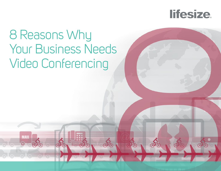

## 8 Reasons Why Your Business Needs Video Conferencing

**MAI**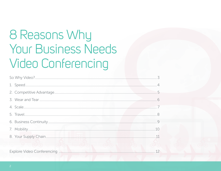## <span id="page-1-0"></span>8 Reasons Why Your Business Needs **Video Conferencing**

| $\circ$ and $\circ$ and $\circ$ and $\circ$ and $\circ$ |  |
|---------------------------------------------------------|--|
|                                                         |  |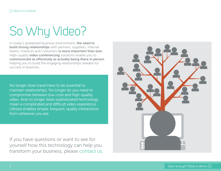# <span id="page-2-0"></span>So Why Video?

In today's globalized business environment, the need to **build strong relationships** with partners, suppliers, internal teams, investors and customers is more important than ever. High-quality video conferencing solutions enable you to communicate as effectively as actually being there in person, helping you to build the engaging relationships needed for success in business.

No longer does travel have to be essential to maintain relationships. No longer do you need to compromise between low-cost and high-quality video. And no longer does sophisticated technology mean a complicated and difficult video experience. Lifesize enables simple, frequent, quality interactions from wherever you are.

If you have questions or want to see for yourself how this technology can help you transform your business, please [contact us.](http://apicom.com.co/contacto.html)

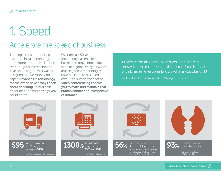## <span id="page-3-0"></span>1. Speed

#### Accelerate the speed of business

The single most compelling reason to install technology is to be more productive. No one ever bought a fax machine to save on postage. Email wasn't designed to save money on paper. Advances in technology for the office have always been about speeding up business rather than the cost savings you could derive.

Over the last 50 years, technology has enabled business to move from a local shop to a global entity. However amazing these technologies have been, there has been a cost - the human connection. Video conferencing enables you to make and maintain that human connection, irrespective of distance.

II Why send an e-mail when you can share a presentation and talk over the report face to face with Lifesize, everyone knows where you stand. **II** 

Paul Panton, Telecommunications Manager, Barnardos

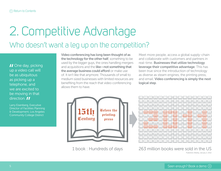### <span id="page-4-0"></span>Who doesn't want a leg up on the competition? 2. Competitive Advantage

**II** One day, picking up a video call will be as ubiquitous as picking up a telephone, and we are excited to be moving in that direction. **II** 

Larry Eisenberg, Executive Director of Facilities Planning & Development, Los Angeles Community College District

Video conferencing has long been thought of as the technology for the other half, something to be used by the bigger guys, the ones handling mergers and acquisitions and the like-not something that the average business could afford or make use of. It isn't like that anymore. Thousands of small to medium sized businesses with limited resources are benefiting from the reach that video conferencing allows them to have.

Meet more people, access a global supply-chain and collaborate with customers and partners in real-time. Businesses that utilize technology leverage their competitive advantage. This has been true since the introduction of technology as diverse as steam engines, the printing press, and email. Video conferencing is simply the next logical step.





1 book : Hundreds of days 263 million books were sold in the US Publishers Weekly, January 2, 2012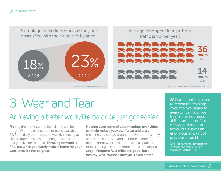<span id="page-5-0"></span>Percentage of workers who say they are Average time spent in rush-hour dissatisfied with their work/life balance traffic jams (per year) 36 hours 18% 23% 2007 14 2008 2009 hours 1982 Harris Interactive for CareerBuilder, 11/2009 Urban Mobility Report, Texas Transportation Institute, 2009

## 3. Wear and Tear

#### Achieving a better work/life balance just got easier

Finding the perfect work/life balance can be tough. With the expectation of being available 24/7, the daily commute, the weekly meeting at HQ, frequent customer meetings, it can seem that you live on the road. Traveling for work is fine, but when you barely make it home for your weekends, it's not so great.

Hosting even some of your meetings over video can help reduce your own 'wear and tear', meaning you can go around the world – or simply across the country – and be home in time for dinner, homework, bath-time, tee ball practice… or even just get in some more time at the driving range! Frequent flyer miles are good, but a healthy, well-rounded lifestyle is even better.

**II** Our technicians used to repeat the trainings over and over again at every office. Now, we train in five countries at the same time. Not only does it save on travel, but it saves an enormous amount of precious time. **II** 

Dirk Robberechts, Information Systems and Infrastructure Manager, Toshiba TEC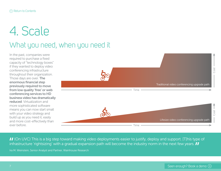## <span id="page-6-0"></span>4. Scale

### What you need, when you need it

In the past, companies were required to purchase a fixed capacity of "technology boxes" if they wanted to deploy video conferencing infrastructure throughout their organization. Those days are over. The enormous financial step previously required to move from low quality 'free' or web conferencing services to HD business video has dramatically reduced. Virtualization and more sophisticated software means you can now start small with your video strategy and build up as you need it, easily and more cost-effectively than ever before.



 (On UVC) This is a big step toward making video deployments easier to justify, deploy and support. [T]his type of infrastructure 'rightsizing' with a gradual expansion path will become the industry norm in the next few years.

Ira M. Weinstein, Senior Analyst and Partner, Wainhouse Research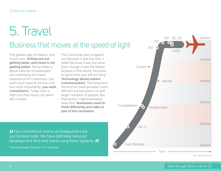# <span id="page-7-0"></span>5. Travel

### Business that moves at the speed of light

The golden age of travel is very much over. Airlines are not getting faster, and travel is not getting better. Flying today is about volume of passengers not enhancing the travel experience for customers. You want your travel to be low cost but more importantly, you want convenience. Today even a flight of a few hours can seem like a hassle.

The Concorde was scrapped not because it was too fast; it failed because it was too slow. Even though it was the fastest airplane in the world, the point to point time was still too long. Technology allows instant communication. The long term trend of air travel provides more efficient transportation to ever larger numbers of people. But that doesn't help businesses save time. Businesses need to think differently and video is part of this revolution.

II Our conference rooms at headquarters are just booked solid. We have definitely reduced development time and travel using these systems. **II** 

Thomas Fenady, Director of IT, Activision

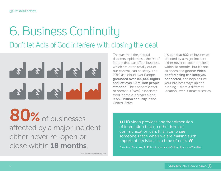### <span id="page-8-0"></span>Don't let Acts of God interfere with closing the deal 6. Business Continuity



80% of businesses affected by a major incident either never re-open or close within 18 months.

http://www.computerweekly.com

The weather, fire, natural disasters, epidemics… the list of factors that can affect business, which are often totally out of our control, can be scary. The 2010 ash cloud over Europe grounded over 100,000 flights and left over 10 million people stranded. The economic cost of norovirus (NoV)-associated food-borne outbreaks alone is \$5.8 billion annually in the United States.

It's said that 80% of businesses affected by a major incident either never re-open or close within 18 months. But it's not all doom and gloom! Video conferencing can keep you connected, and help ensure your business stays up and running – from a different location, even if disaster strikes.

II HD video provides another dimension of interaction that no other form of communication can. It is nice to see someone's face when we are making such important decisions in a time of crisis. **II** 

Francisco Sanchez, Jr. Public Information Officer, Houston TranStar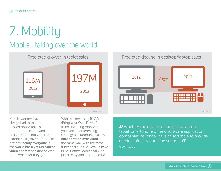### <span id="page-9-0"></span>Mobile…taking over the world 7. Mobility



Mobile workers have always had to tolerate missed opportunities for communication and collaboration. But with the exponential growth of mobile devices, nearly everyone in the world has a yet unrealized video conference device with them wherever they go.

With the increasing BYOD (Bring Your Own Device) trend, including mobile in your video conferencing strategy is paramount. It allows collaboration over video in the same way, with the same functionality, as you would have in your office. Additionally, it's just as easy and cost-effective.



II Whether the device of choice is a laptop, tablet, smartphone or new software application, companies no longer have to scramble to provide needed infrastructure and support. **II** 

Staff, InAVate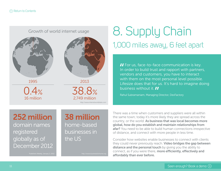Growth of world internet usage

<span id="page-10-0"></span>



http://www.jnternetworldstats.com

### 1,000 miles away, 6 feet apart 8. Supply Chain

II For us, face-to-face communication is key. In order to build trust and rapport with partners, vendors and customers, you have to interact with them on the most personal level possible. Lifesize does that for us. It's hard to imagine doing business without it. **II** 

Rahul Subramaniam, Managing Director, DevFactory

252 million domain names registered globally as of December 2012

38 million home-based businesses in the US

Publishers Weekly, January 2, 2012 http://www.businessforhome.org/

There was a time when customers and suppliers were all within the same town; today it's more likely they are spread across the country, or the world. As business that was local becomes more global, how do you establish and maintain relationships from afar? You need to be able to build human connections irrespective of distance, and connect with more people in less time.

Consider how websites enable businesses to connect with clients they could never previously reach. Video bridges the gap between distance and the personal touch by giving you the ability to connect, as if you were there, more efficiently, effectively and affordably than ever before.